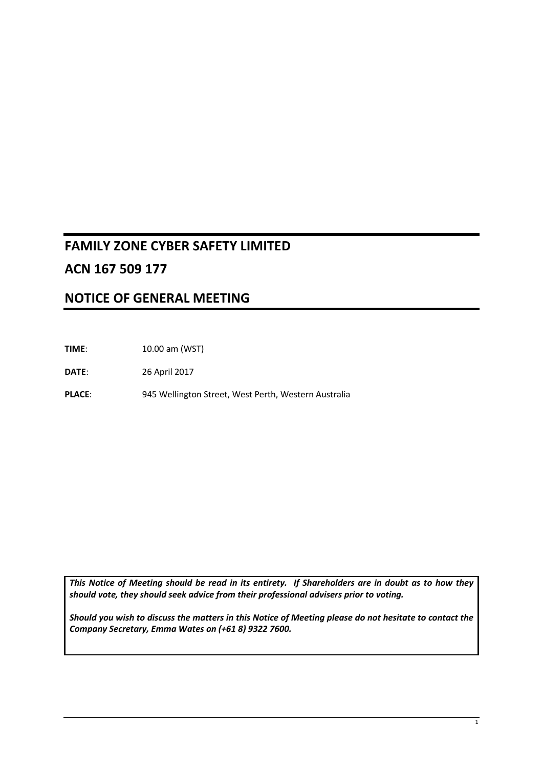# **FAMILY ZONE CYBER SAFETY LIMITED**

# **ACN 167 509 177**

# **NOTICE OF GENERAL MEETING**

**TIME**: 10.00 am (WST)

**DATE**: 26 April 2017

PLACE: 945 Wellington Street, West Perth, Western Australia

*This Notice of Meeting should be read in its entirety. If Shareholders are in doubt as to how they should vote, they should seek advice from their professional advisers prior to voting.*

*Should you wish to discuss the matters in this Notice of Meeting please do not hesitate to contact the Company Secretary, Emma Wates on (+61 8) 9322 7600.*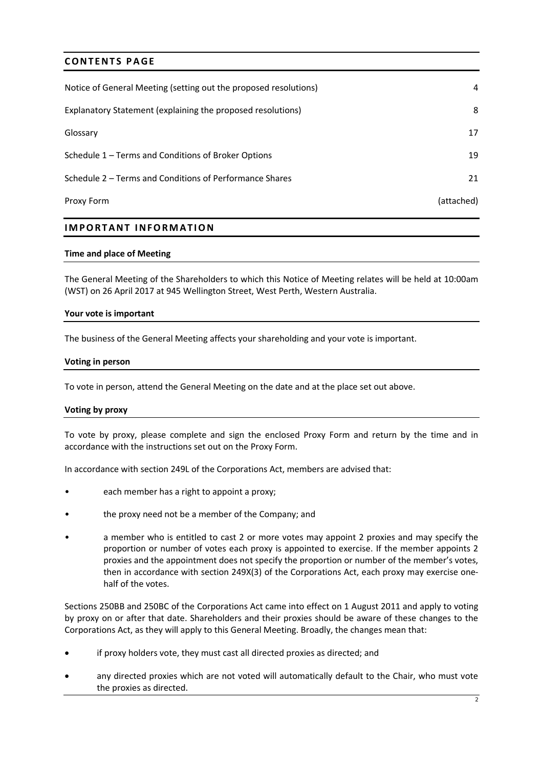# **CONTENTS PAGE**

| Notice of General Meeting (setting out the proposed resolutions) | 4          |
|------------------------------------------------------------------|------------|
| Explanatory Statement (explaining the proposed resolutions)      | 8          |
| Glossary                                                         | 17         |
| Schedule 1 – Terms and Conditions of Broker Options              | 19         |
| Schedule 2 – Terms and Conditions of Performance Shares          | 21         |
| Proxy Form                                                       | (attached) |

## **IMPORTANT INFORMATION**

#### **Time and place of Meeting**

The General Meeting of the Shareholders to which this Notice of Meeting relates will be held at 10:00am (WST) on 26 April 2017 at 945 Wellington Street, West Perth, Western Australia.

#### **Your vote is important**

The business of the General Meeting affects your shareholding and your vote is important.

#### **Voting in person**

To vote in person, attend the General Meeting on the date and at the place set out above.

#### **Voting by proxy**

To vote by proxy, please complete and sign the enclosed Proxy Form and return by the time and in accordance with the instructions set out on the Proxy Form.

In accordance with section 249L of the Corporations Act, members are advised that:

- each member has a right to appoint a proxy;
- the proxy need not be a member of the Company; and
- a member who is entitled to cast 2 or more votes may appoint 2 proxies and may specify the proportion or number of votes each proxy is appointed to exercise. If the member appoints 2 proxies and the appointment does not specify the proportion or number of the member's votes, then in accordance with section 249X(3) of the Corporations Act, each proxy may exercise onehalf of the votes.

Sections 250BB and 250BC of the Corporations Act came into effect on 1 August 2011 and apply to voting by proxy on or after that date. Shareholders and their proxies should be aware of these changes to the Corporations Act, as they will apply to this General Meeting. Broadly, the changes mean that:

- if proxy holders vote, they must cast all directed proxies as directed; and
- any directed proxies which are not voted will automatically default to the Chair, who must vote the proxies as directed.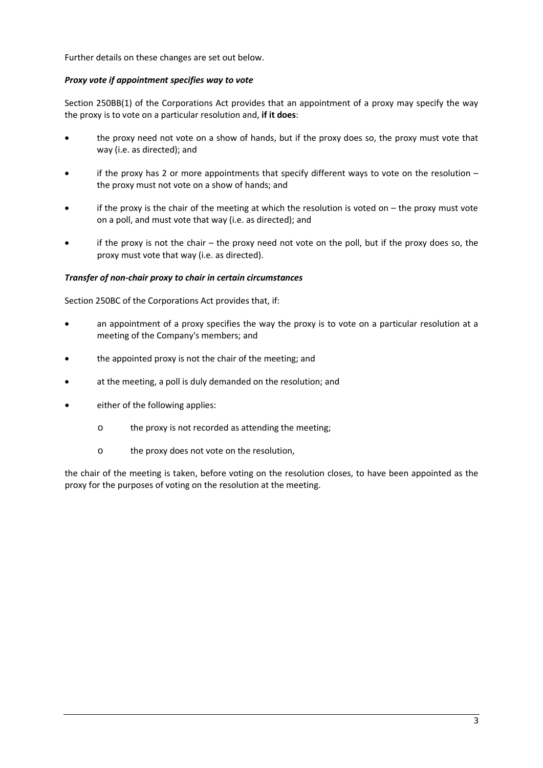Further details on these changes are set out below.

## *Proxy vote if appointment specifies way to vote*

Section 250BB(1) of the Corporations Act provides that an appointment of a proxy may specify the way the proxy is to vote on a particular resolution and, **if it does**:

- the proxy need not vote on a show of hands, but if the proxy does so, the proxy must vote that way (i.e. as directed); and
- if the proxy has 2 or more appointments that specify different ways to vote on the resolution the proxy must not vote on a show of hands; and
- if the proxy is the chair of the meeting at which the resolution is voted on  $-$  the proxy must vote on a poll, and must vote that way (i.e. as directed); and
- if the proxy is not the chair the proxy need not vote on the poll, but if the proxy does so, the proxy must vote that way (i.e. as directed).

#### *Transfer of non-chair proxy to chair in certain circumstances*

Section 250BC of the Corporations Act provides that, if:

- an appointment of a proxy specifies the way the proxy is to vote on a particular resolution at a meeting of the Company's members; and
- the appointed proxy is not the chair of the meeting; and
- at the meeting, a poll is duly demanded on the resolution; and
- either of the following applies:
	- o the proxy is not recorded as attending the meeting;
	- o the proxy does not vote on the resolution,

the chair of the meeting is taken, before voting on the resolution closes, to have been appointed as the proxy for the purposes of voting on the resolution at the meeting.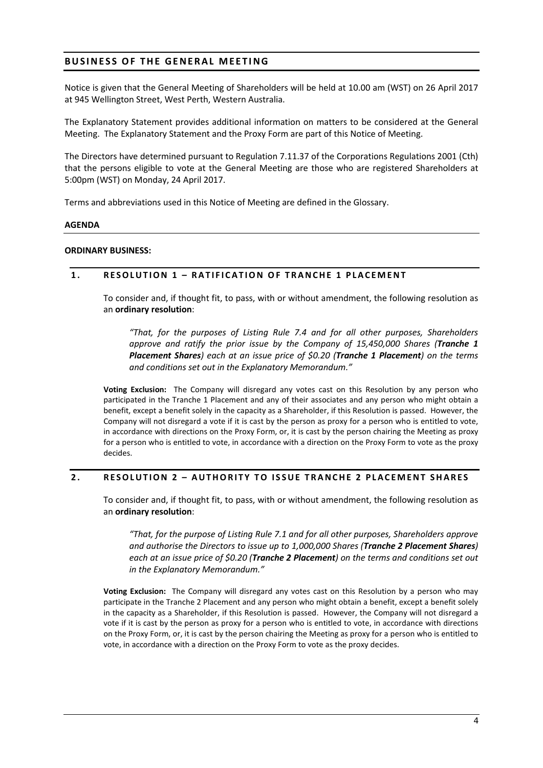# **BUSINESS OF THE GENERAL MEETING**

Notice is given that the General Meeting of Shareholders will be held at 10.00 am (WST) on 26 April 2017 at 945 Wellington Street, West Perth, Western Australia.

The Explanatory Statement provides additional information on matters to be considered at the General Meeting. The Explanatory Statement and the Proxy Form are part of this Notice of Meeting.

The Directors have determined pursuant to Regulation 7.11.37 of the Corporations Regulations 2001 (Cth) that the persons eligible to vote at the General Meeting are those who are registered Shareholders at 5:00pm (WST) on Monday, 24 April 2017.

Terms and abbreviations used in this Notice of Meeting are defined in the Glossary.

#### **AGENDA**

#### **ORDINARY BUSINESS:**

#### <span id="page-3-0"></span>**1 . RESOLUTION 1 – RATIFICATION OF TRANCHE 1 PLACEMENT**

To consider and, if thought fit, to pass, with or without amendment, the following resolution as an **ordinary resolution**:

*"That, for the purposes of Listing Rule 7.4 and for all other purposes, Shareholders approve and ratify the prior issue by the Company of 15,450,000 Shares (Tranche 1 Placement Shares) each at an issue price of \$0.20 (Tranche 1 Placement) on the terms and conditions set out in the Explanatory Memorandum."*

**Voting Exclusion:** The Company will disregard any votes cast on this Resolution by any person who participated in the Tranche 1 Placement and any of their associates and any person who might obtain a benefit, except a benefit solely in the capacity as a Shareholder, if this Resolution is passed. However, the Company will not disregard a vote if it is cast by the person as proxy for a person who is entitled to vote, in accordance with directions on the Proxy Form, or, it is cast by the person chairing the Meeting as proxy for a person who is entitled to vote, in accordance with a direction on the Proxy Form to vote as the proxy decides.

#### **2 . RESOLUTION 2 – AUTHORITY TO ISSUE T RANCHE 2 PLACEMENT SHARES**

To consider and, if thought fit, to pass, with or without amendment, the following resolution as an **ordinary resolution**:

*"That, for the purpose of Listing Rule 7.1 and for all other purposes, Shareholders approve and authorise the Directors to issue up to 1,000,000 Shares (Tranche 2 Placement Shares) each at an issue price of \$0.20 (Tranche 2 Placement) on the terms and conditions set out in the Explanatory Memorandum."*

**Voting Exclusion:** The Company will disregard any votes cast on this Resolution by a person who may participate in the Tranche 2 Placement and any person who might obtain a benefit, except a benefit solely in the capacity as a Shareholder, if this Resolution is passed. However, the Company will not disregard a vote if it is cast by the person as proxy for a person who is entitled to vote, in accordance with directions on the Proxy Form, or, it is cast by the person chairing the Meeting as proxy for a person who is entitled to vote, in accordance with a direction on the Proxy Form to vote as the proxy decides.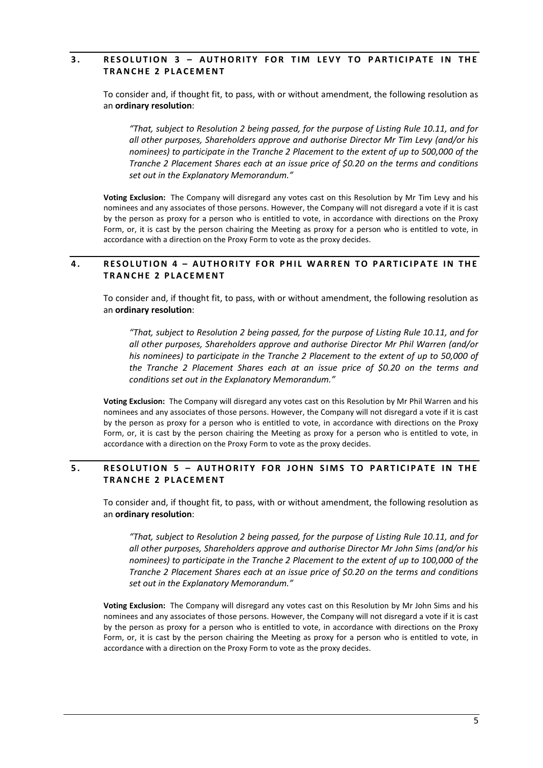## <span id="page-4-0"></span>**3 . RESOLUTION 3 – AUTHORITY FOR TIM LEVY TO PARTICIPATE IN THE TRANCHE 2 PLACEMENT**

To consider and, if thought fit, to pass, with or without amendment, the following resolution as an **ordinary resolution**:

*"That, subject to Resolution 2 being passed, for the purpose of Listing Rule 10.11, and for all other purposes, Shareholders approve and authorise Director Mr Tim Levy (and/or his nominees) to participate in the Tranche 2 Placement to the extent of up to 500,000 of the Tranche 2 Placement Shares each at an issue price of \$0.20 on the terms and conditions set out in the Explanatory Memorandum."*

**Voting Exclusion:** The Company will disregard any votes cast on this Resolution by Mr Tim Levy and his nominees and any associates of those persons. However, the Company will not disregard a vote if it is cast by the person as proxy for a person who is entitled to vote, in accordance with directions on the Proxy Form, or, it is cast by the person chairing the Meeting as proxy for a person who is entitled to vote, in accordance with a direction on the Proxy Form to vote as the proxy decides.

## **4 . RESOLUTION 4 – AUTHORITY FOR PHIL WARREN TO PARTICIPATE IN THE TRANCHE 2 PLACEMENT**

To consider and, if thought fit, to pass, with or without amendment, the following resolution as an **ordinary resolution**:

*"That, subject to Resolution 2 being passed, for the purpose of Listing Rule 10.11, and for all other purposes, Shareholders approve and authorise Director Mr Phil Warren (and/or his nominees) to participate in the Tranche 2 Placement to the extent of up to 50,000 of the Tranche 2 Placement Shares each at an issue price of \$0.20 on the terms and conditions set out in the Explanatory Memorandum."*

**Voting Exclusion:** The Company will disregard any votes cast on this Resolution by Mr Phil Warren and his nominees and any associates of those persons. However, the Company will not disregard a vote if it is cast by the person as proxy for a person who is entitled to vote, in accordance with directions on the Proxy Form, or, it is cast by the person chairing the Meeting as proxy for a person who is entitled to vote, in accordance with a direction on the Proxy Form to vote as the proxy decides.

## **5 . RESOLUTION 5 – AUTHORITY FOR JOHN SIMS TO PARTICIPATE IN THE TRANCHE 2 PLACEMENT**

To consider and, if thought fit, to pass, with or without amendment, the following resolution as an **ordinary resolution**:

*"That, subject to Resolution 2 being passed, for the purpose of Listing Rule 10.11, and for all other purposes, Shareholders approve and authorise Director Mr John Sims (and/or his nominees) to participate in the Tranche 2 Placement to the extent of up to 100,000 of the Tranche 2 Placement Shares each at an issue price of \$0.20 on the terms and conditions set out in the Explanatory Memorandum."*

**Voting Exclusion:** The Company will disregard any votes cast on this Resolution by Mr John Sims and his nominees and any associates of those persons. However, the Company will not disregard a vote if it is cast by the person as proxy for a person who is entitled to vote, in accordance with directions on the Proxy Form, or, it is cast by the person chairing the Meeting as proxy for a person who is entitled to vote, in accordance with a direction on the Proxy Form to vote as the proxy decides.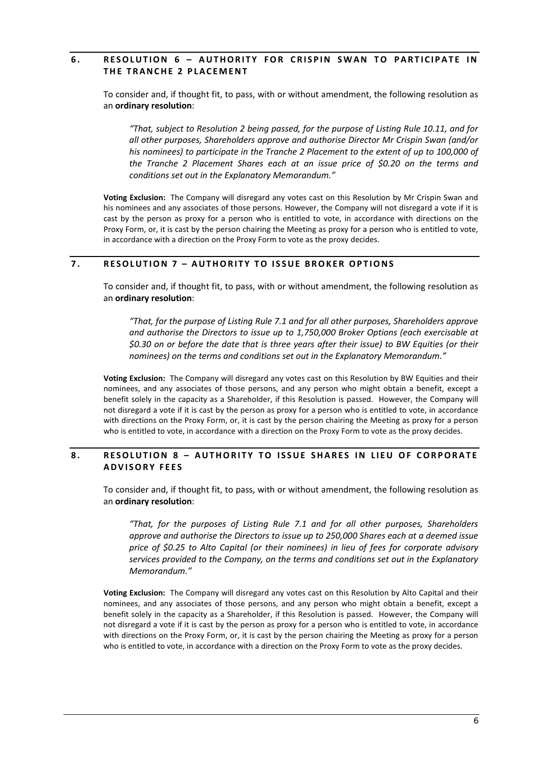## **6 . RESOLUTION 6 – AUTHORITY FOR CRISPIN SWAN TO PARTICIPATE IN THE TRANCHE 2 PLACEMENT**

To consider and, if thought fit, to pass, with or without amendment, the following resolution as an **ordinary resolution**:

*"That, subject to Resolution 2 being passed, for the purpose of Listing Rule 10.11, and for all other purposes, Shareholders approve and authorise Director Mr Crispin Swan (and/or his nominees) to participate in the Tranche 2 Placement to the extent of up to 100,000 of the Tranche 2 Placement Shares each at an issue price of \$0.20 on the terms and conditions set out in the Explanatory Memorandum."*

**Voting Exclusion:** The Company will disregard any votes cast on this Resolution by Mr Crispin Swan and his nominees and any associates of those persons. However, the Company will not disregard a vote if it is cast by the person as proxy for a person who is entitled to vote, in accordance with directions on the Proxy Form, or, it is cast by the person chairing the Meeting as proxy for a person who is entitled to vote, in accordance with a direction on the Proxy Form to vote as the proxy decides.

## **7 . RESOLUTION 7 – AUTHORITY TO ISSUE BROKER OPTIONS**

To consider and, if thought fit, to pass, with or without amendment, the following resolution as an **ordinary resolution**:

*"That, for the purpose of Listing Rule 7.1 and for all other purposes, Shareholders approve and authorise the Directors to issue up to 1,750,000 Broker Options (each exercisable at \$0.30 on or before the date that is three years after their issue) to BW Equities (or their nominees) on the terms and conditions set out in the Explanatory Memorandum."*

**Voting Exclusion:** The Company will disregard any votes cast on this Resolution by BW Equities and their nominees, and any associates of those persons, and any person who might obtain a benefit, except a benefit solely in the capacity as a Shareholder, if this Resolution is passed. However, the Company will not disregard a vote if it is cast by the person as proxy for a person who is entitled to vote, in accordance with directions on the Proxy Form, or, it is cast by the person chairing the Meeting as proxy for a person who is entitled to vote, in accordance with a direction on the Proxy Form to vote as the proxy decides.

## **8 . RESOLUTION 8 – AUTHORITY TO ISSUE SHARES IN LIEU OF CORPORATE ADVISORY FEES**

To consider and, if thought fit, to pass, with or without amendment, the following resolution as an **ordinary resolution**:

*"That, for the purposes of Listing Rule 7.1 and for all other purposes, Shareholders approve and authorise the Directors to issue up to 250,000 Shares each at a deemed issue price of \$0.25 to Alto Capital (or their nominees) in lieu of fees for corporate advisory services provided to the Company, on the terms and conditions set out in the Explanatory Memorandum."*

**Voting Exclusion:** The Company will disregard any votes cast on this Resolution by Alto Capital and their nominees, and any associates of those persons, and any person who might obtain a benefit, except a benefit solely in the capacity as a Shareholder, if this Resolution is passed. However, the Company will not disregard a vote if it is cast by the person as proxy for a person who is entitled to vote, in accordance with directions on the Proxy Form, or, it is cast by the person chairing the Meeting as proxy for a person who is entitled to vote, in accordance with a direction on the Proxy Form to vote as the proxy decides.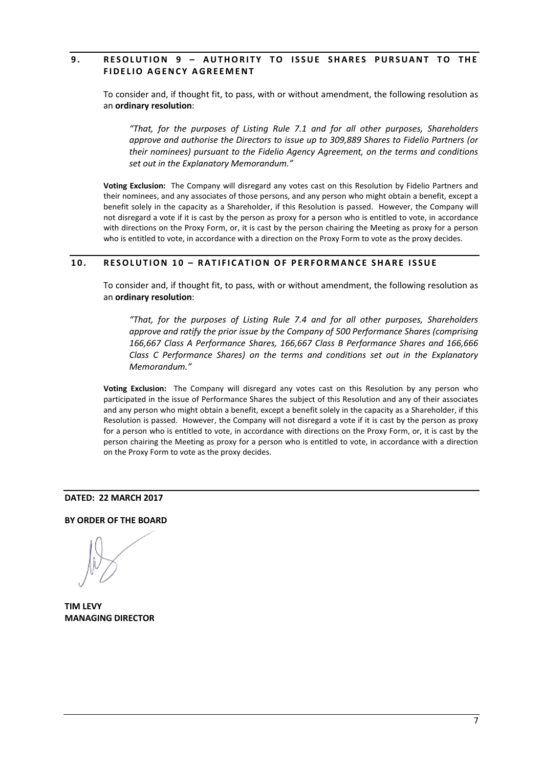## **9 . RESOLUTION 9 – AUTHORITY TO ISSUE SHARES PURSUANT TO THE FIDELIO AGENCY AGREEMENT**

To consider and, if thought fit, to pass, with or without amendment, the following resolution as an **ordinary resolution**:

*"That, for the purposes of Listing Rule 7.1 and for all other purposes, Shareholders approve and authorise the Directors to issue up to 309,889 Shares to Fidelio Partners (or their nominees) pursuant to the Fidelio Agency Agreement, on the terms and conditions set out in the Explanatory Memorandum."*

**Voting Exclusion:** The Company will disregard any votes cast on this Resolution by Fidelio Partners and their nominees, and any associates of those persons, and any person who might obtain a benefit, except a benefit solely in the capacity as a Shareholder, if this Resolution is passed. However, the Company will not disregard a vote if it is cast by the person as proxy for a person who is entitled to vote, in accordance with directions on the Proxy Form, or, it is cast by the person chairing the Meeting as proxy for a person who is entitled to vote, in accordance with a direction on the Proxy Form to vote as the proxy decides.

#### **10. RESOLUTION 1 0 – RATIFICATION OF PERFORMANCE SHARE IS SUE**

To consider and, if thought fit, to pass, with or without amendment, the following resolution as an **ordinary resolution**:

*"That, for the purposes of Listing Rule 7.4 and for all other purposes, Shareholders approve and ratify the prior issue by the Company of 500 Performance Shares (comprising 166,667 Class A Performance Shares, 166,667 Class B Performance Shares and 166,666 Class C Performance Shares) on the terms and conditions set out in the Explanatory Memorandum."*

**Voting Exclusion:** The Company will disregard any votes cast on this Resolution by any person who participated in the issue of Performance Shares the subject of this Resolution and any of their associates and any person who might obtain a benefit, except a benefit solely in the capacity as a Shareholder, if this Resolution is passed. However, the Company will not disregard a vote if it is cast by the person as proxy for a person who is entitled to vote, in accordance with directions on the Proxy Form, or, it is cast by the person chairing the Meeting as proxy for a person who is entitled to vote, in accordance with a direction on the Proxy Form to vote as the proxy decides.

**DATED: 22 MARCH 2017**

**BY ORDER OF THE BOARD**

**TIM LEVY MANAGING DIRECTOR**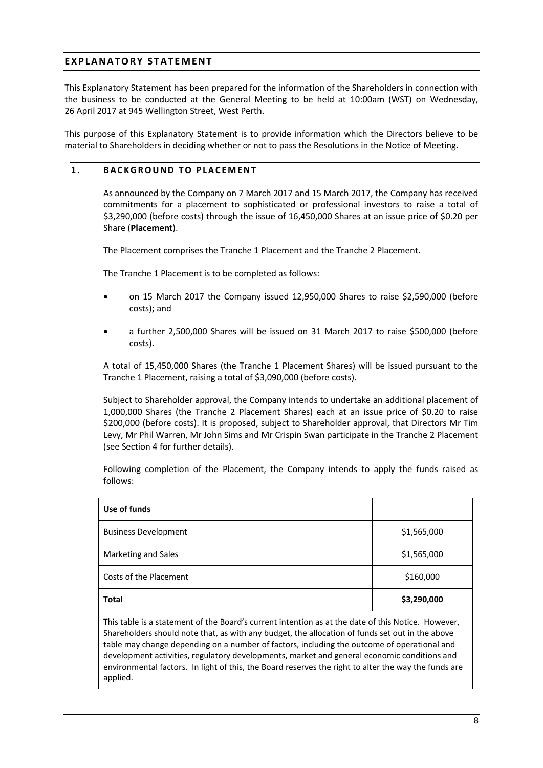# **EXPLANATORY STATEMENT**

This Explanatory Statement has been prepared for the information of the Shareholders in connection with the business to be conducted at the General Meeting to be held at 10:00am (WST) on Wednesday, 26 April 2017 at 945 Wellington Street, West Perth.

This purpose of this Explanatory Statement is to provide information which the Directors believe to be material to Shareholders in deciding whether or not to pass the Resolutions in the Notice of Meeting.

## <span id="page-7-0"></span>**1 . BACKGROUND TO PLACEMENT**

As announced by the Company on 7 March 2017 and 15 March 2017, the Company has received commitments for a placement to sophisticated or professional investors to raise a total of \$3,290,000 (before costs) through the issue of 16,450,000 Shares at an issue price of \$0.20 per Share (**Placement**).

The Placement comprises the Tranche 1 Placement and the Tranche 2 Placement.

The Tranche 1 Placement is to be completed as follows:

- on 15 March 2017 the Company issued 12,950,000 Shares to raise \$2,590,000 (before costs); and
- a further 2,500,000 Shares will be issued on 31 March 2017 to raise \$500,000 (before costs).

A total of 15,450,000 Shares (the Tranche 1 Placement Shares) will be issued pursuant to the Tranche 1 Placement, raising a total of \$3,090,000 (before costs).

Subject to Shareholder approval, the Company intends to undertake an additional placement of 1,000,000 Shares (the Tranche 2 Placement Shares) each at an issue price of \$0.20 to raise \$200,000 (before costs). It is proposed, subject to Shareholder approval, that Directors Mr Tim Levy, Mr Phil Warren, Mr John Sims and Mr Crispin Swan participate in the Tranche 2 Placement (see Section 4 for further details).

Following completion of the Placement, the Company intends to apply the funds raised as follows:

| Use of funds                |             |
|-----------------------------|-------------|
| <b>Business Development</b> | \$1,565,000 |
| Marketing and Sales         | \$1,565,000 |
| Costs of the Placement      | \$160,000   |
| Total                       | \$3,290,000 |

This table is a statement of the Board's current intention as at the date of this Notice. However, Shareholders should note that, as with any budget, the allocation of funds set out in the above table may change depending on a number of factors, including the outcome of operational and development activities, regulatory developments, market and general economic conditions and environmental factors. In light of this, the Board reserves the right to alter the way the funds are applied.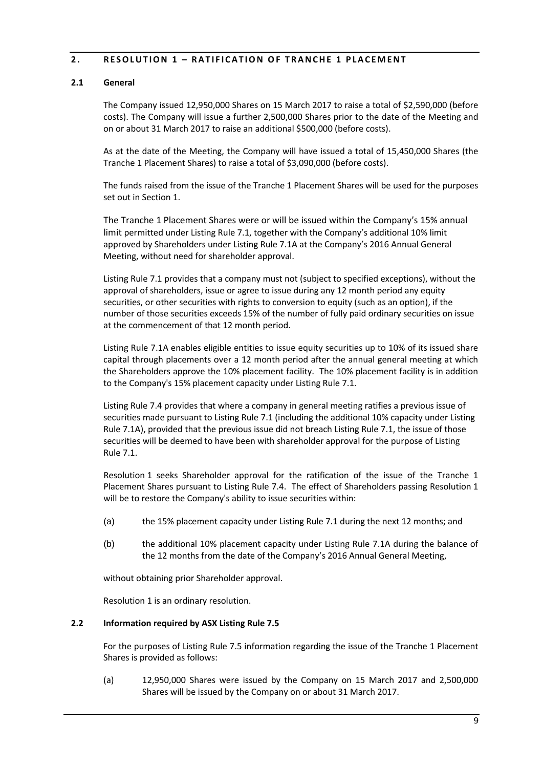## **2 . RESOLUTION 1 – RATIFICATION OF TRANCHE 1 PLACEMENT**

## **2.1 General**

The Company issued 12,950,000 Shares on 15 March 2017 to raise a total of \$2,590,000 (before costs). The Company will issue a further 2,500,000 Shares prior to the date of the Meeting and on or about 31 March 2017 to raise an additional \$500,000 (before costs).

As at the date of the Meeting, the Company will have issued a total of 15,450,000 Shares (the Tranche 1 Placement Shares) to raise a total of \$3,090,000 (before costs).

The funds raised from the issue of the Tranche 1 Placement Shares will be used for the purposes set out in Section 1.

The Tranche 1 Placement Shares were or will be issued within the Company's 15% annual limit permitted under Listing Rule 7.1, together with the Company's additional 10% limit approved by Shareholders under Listing Rule 7.1A at the Company's 2016 Annual General Meeting, without need for shareholder approval.

Listing Rule 7.1 provides that a company must not (subject to specified exceptions), without the approval of shareholders, issue or agree to issue during any 12 month period any equity securities, or other securities with rights to conversion to equity (such as an option), if the number of those securities exceeds 15% of the number of fully paid ordinary securities on issue at the commencement of that 12 month period.

Listing Rule 7.1A enables eligible entities to issue equity securities up to 10% of its issued share capital through placements over a 12 month period after the annual general meeting at which the Shareholders approve the 10% placement facility. The 10% placement facility is in addition to the Company's 15% placement capacity under Listing Rule 7.1.

Listing Rule 7.4 provides that where a company in general meeting ratifies a previous issue of securities made pursuant to Listing Rule 7.1 (including the additional 10% capacity under Listing Rule 7.1A), provided that the previous issue did not breach Listing Rule 7.1, the issue of those securities will be deemed to have been with shareholder approval for the purpose of Listing Rule 7.1.

Resolution 1 seeks Shareholder approval for the ratification of the issue of the Tranche 1 Placement Shares pursuant to Listing Rule 7.4. The effect of Shareholders passing Resolution 1 will be to restore the Company's ability to issue securities within:

- (a) the 15% placement capacity under Listing Rule 7.1 during the next 12 months; and
- (b) the additional 10% placement capacity under Listing Rule 7.1A during the balance of the 12 months from the date of the Company's 2016 Annual General Meeting,

without obtaining prior Shareholder approval.

Resolution 1 is an ordinary resolution.

# **2.2 Information required by ASX Listing Rule 7.5**

For the purposes of Listing Rule 7.5 information regarding the issue of the Tranche 1 Placement Shares is provided as follows:

(a) 12,950,000 Shares were issued by the Company on 15 March 2017 and 2,500,000 Shares will be issued by the Company on or about 31 March 2017.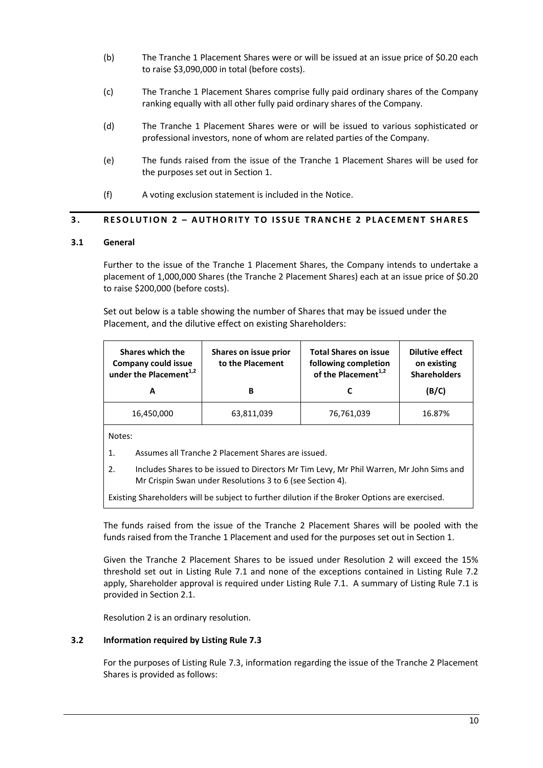- (b) The Tranche 1 Placement Shares were or will be issued at an issue price of \$0.20 each to raise \$3,090,000 in total (before costs).
- (c) The Tranche 1 Placement Shares comprise fully paid ordinary shares of the Company ranking equally with all other fully paid ordinary shares of the Company.
- (d) The Tranche 1 Placement Shares were or will be issued to various sophisticated or professional investors, none of whom are related parties of the Company.
- (e) The funds raised from the issue of the Tranche 1 Placement Shares will be used for the purposes set out in Section 1.
- (f) A voting exclusion statement is included in the Notice.

# **3 . RESOLUTION 2 – AUTHORITY TO ISSUE T RANCHE 2 PLACEMENT SHARES**

## **3.1 General**

Further to the issue of the Tranche 1 Placement Shares, the Company intends to undertake a placement of 1,000,000 Shares (the Tranche 2 Placement Shares) each at an issue price of \$0.20 to raise \$200,000 (before costs).

Set out below is a table showing the number of Shares that may be issued under the Placement, and the dilutive effect on existing Shareholders:

| <b>Shares which the</b><br><b>Company could issue</b><br>under the Placement <sup>1,2</sup> | Shares on issue prior<br>to the Placement | <b>Total Shares on issue</b><br>following completion<br>of the Placement <sup>1,2</sup> | <b>Dilutive effect</b><br>on existing<br><b>Shareholders</b> |
|---------------------------------------------------------------------------------------------|-------------------------------------------|-----------------------------------------------------------------------------------------|--------------------------------------------------------------|
| А                                                                                           | в                                         |                                                                                         | (B/C)                                                        |
| 16,450,000                                                                                  | 63,811,039                                | 76,761,039                                                                              | 16.87%                                                       |

Notes:

- 1. Assumes all Tranche 2 Placement Shares are issued.
- 2. Includes Shares to be issued to Directors Mr Tim Levy, Mr Phil Warren, Mr John Sims and Mr Crispin Swan under Resolutions [3](#page-4-0) to 6 (see Section 4).

Existing Shareholders will be subject to further dilution if the Broker Options are exercised.

The funds raised from the issue of the Tranche 2 Placement Shares will be pooled with the funds raised from the Tranche 1 Placement and used for the purposes set out in Section 1.

Given the Tranche 2 Placement Shares to be issued under Resolution 2 will exceed the 15% threshold set out in Listing Rule 7.1 and none of the exceptions contained in Listing Rule 7.2 apply, Shareholder approval is required under Listing Rule 7.1. A summary of Listing Rule 7.1 is provided in Section 2.1.

Resolution 2 is an ordinary resolution.

## **3.2 Information required by Listing Rule 7.3**

For the purposes of Listing Rule 7.3, information regarding the issue of the Tranche 2 Placement Shares is provided as follows: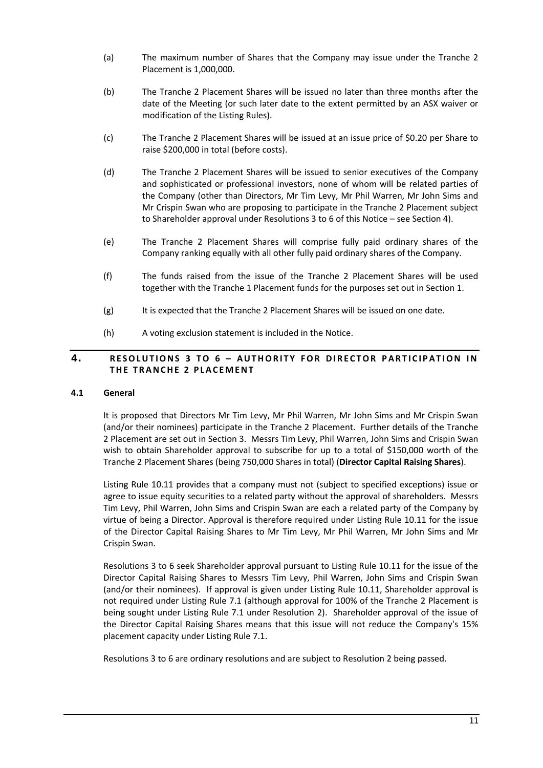- (a) The maximum number of Shares that the Company may issue under the Tranche 2 Placement is 1,000,000.
- (b) The Tranche 2 Placement Shares will be issued no later than three months after the date of the Meeting (or such later date to the extent permitted by an ASX waiver or modification of the Listing Rules).
- (c) The Tranche 2 Placement Shares will be issued at an issue price of \$0.20 per Share to raise \$200,000 in total (before costs).
- (d) The Tranche 2 Placement Shares will be issued to senior executives of the Company and sophisticated or professional investors, none of whom will be related parties of the Company (other than Directors, Mr Tim Levy, Mr Phil Warren, Mr John Sims and Mr Crispin Swan who are proposing to participate in the Tranche 2 Placement subject to Shareholder approval under Resolutions 3 to 6 of this Notice – see Section 4).
- (e) The Tranche 2 Placement Shares will comprise fully paid ordinary shares of the Company ranking equally with all other fully paid ordinary shares of the Company.
- (f) The funds raised from the issue of the Tranche 2 Placement Shares will be used together with the Tranche 1 Placement funds for the purposes set out in Section 1.
- (g) It is expected that the Tranche 2 Placement Shares will be issued on one date.
- (h) A voting exclusion statement is included in the Notice.

# **4. RESOLUTIONS 3 TO 6 – AUTHORITY FOR DIRECTOR PARTICIPATION IN THE TRANCHE 2 PLACEMENT**

#### **4.1 General**

It is proposed that Directors Mr Tim Levy, Mr Phil Warren, Mr John Sims and Mr Crispin Swan (and/or their nominees) participate in the Tranche 2 Placement. Further details of the Tranche 2 Placement are set out in Section 3. Messrs Tim Levy, Phil Warren, John Sims and Crispin Swan wish to obtain Shareholder approval to subscribe for up to a total of \$150,000 worth of the Tranche 2 Placement Shares (being 750,000 Shares in total) (**Director Capital Raising Shares**).

Listing Rule 10.11 provides that a company must not (subject to specified exceptions) issue or agree to issue equity securities to a related party without the approval of shareholders. Messrs Tim Levy, Phil Warren, John Sims and Crispin Swan are each a related party of the Company by virtue of being a Director. Approval is therefore required under Listing Rule 10.11 for the issue of the Director Capital Raising Shares to Mr Tim Levy, Mr Phil Warren, Mr John Sims and Mr Crispin Swan.

Resolutions 3 to 6 seek Shareholder approval pursuant to Listing Rule 10.11 for the issue of the Director Capital Raising Shares to Messrs Tim Levy, Phil Warren, John Sims and Crispin Swan (and/or their nominees). If approval is given under Listing Rule 10.11, Shareholder approval is not required under Listing Rule 7.1 (although approval for 100% of the Tranche 2 Placement is being sought under Listing Rule 7.1 under Resolution 2). Shareholder approval of the issue of the Director Capital Raising Shares means that this issue will not reduce the Company's 15% placement capacity under Listing Rule 7.1.

Resolutions 3 to 6 are ordinary resolutions and are subject to Resolution 2 being passed.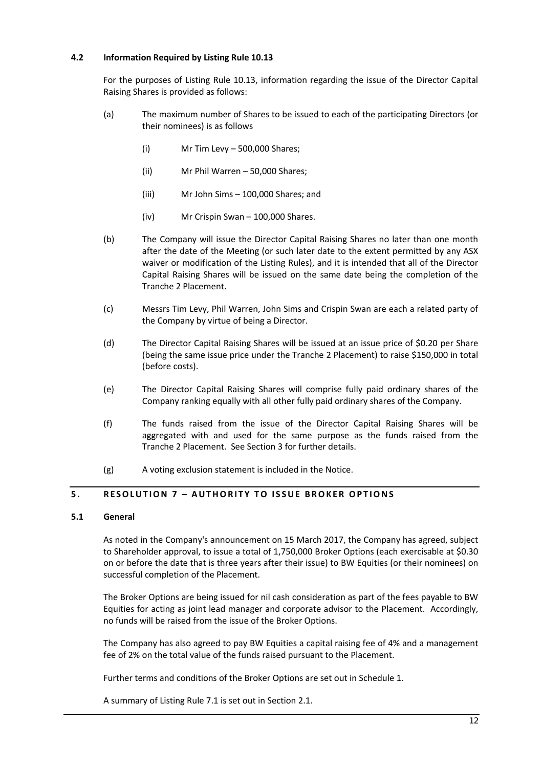## **4.2 Information Required by Listing Rule 10.13**

For the purposes of Listing Rule 10.13, information regarding the issue of the Director Capital Raising Shares is provided as follows:

- (a) The maximum number of Shares to be issued to each of the participating Directors (or their nominees) is as follows
	- (i) Mr Tim Levy 500,000 Shares;
	- (ii) Mr Phil Warren 50,000 Shares;
	- (iii) Mr John Sims 100,000 Shares; and
	- (iv) Mr Crispin Swan 100,000 Shares.
- (b) The Company will issue the Director Capital Raising Shares no later than one month after the date of the Meeting (or such later date to the extent permitted by any ASX waiver or modification of the Listing Rules), and it is intended that all of the Director Capital Raising Shares will be issued on the same date being the completion of the Tranche 2 Placement.
- (c) Messrs Tim Levy, Phil Warren, John Sims and Crispin Swan are each a related party of the Company by virtue of being a Director.
- (d) The Director Capital Raising Shares will be issued at an issue price of \$0.20 per Share (being the same issue price under the Tranche 2 Placement) to raise \$150,000 in total (before costs).
- (e) The Director Capital Raising Shares will comprise fully paid ordinary shares of the Company ranking equally with all other fully paid ordinary shares of the Company.
- (f) The funds raised from the issue of the Director Capital Raising Shares will be aggregated with and used for the same purpose as the funds raised from the Tranche 2 Placement. See Section 3 for further details.
- (g) A voting exclusion statement is included in the Notice.

# **5 . RESOLUTION 7 – AUTHORITY TO ISSUE BROKER OPTIONS**

## **5.1 General**

As noted in the Company's announcement on 15 March 2017, the Company has agreed, subject to Shareholder approval, to issue a total of 1,750,000 Broker Options (each exercisable at \$0.30 on or before the date that is three years after their issue) to BW Equities (or their nominees) on successful completion of the Placement.

The Broker Options are being issued for nil cash consideration as part of the fees payable to BW Equities for acting as joint lead manager and corporate advisor to the Placement. Accordingly, no funds will be raised from the issue of the Broker Options.

The Company has also agreed to pay BW Equities a capital raising fee of 4% and a management fee of 2% on the total value of the funds raised pursuant to the Placement.

Further terms and conditions of the Broker Options are set out in Schedule 1.

A summary of Listing Rule 7.1 is set out in Section 2.1.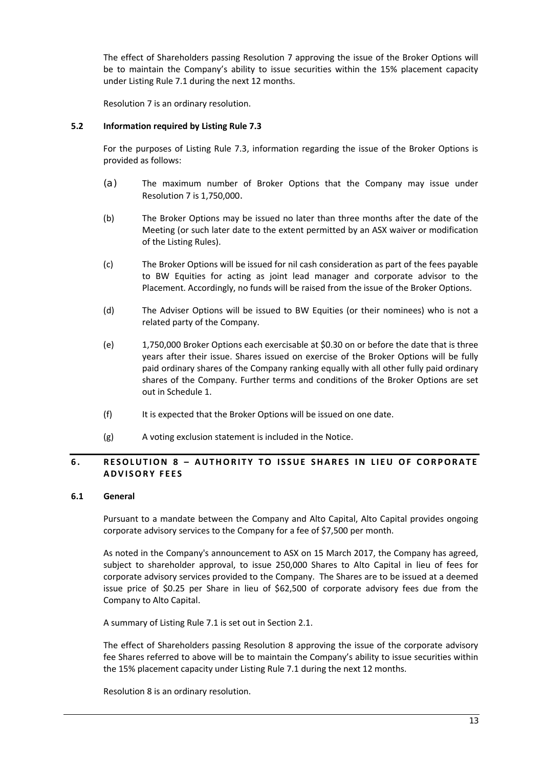The effect of Shareholders passing Resolution 7 approving the issue of the Broker Options will be to maintain the Company's ability to issue securities within the 15% placement capacity under Listing Rule 7.1 during the next 12 months.

Resolution 7 is an ordinary resolution.

## **5.2 Information required by Listing Rule 7.3**

For the purposes of Listing Rule 7.3, information regarding the issue of the Broker Options is provided as follows:

- (a) The maximum number of Broker Options that the Company may issue under Resolution 7 is 1,750,000.
- (b) The Broker Options may be issued no later than three months after the date of the Meeting (or such later date to the extent permitted by an ASX waiver or modification of the Listing Rules).
- (c) The Broker Options will be issued for nil cash consideration as part of the fees payable to BW Equities for acting as joint lead manager and corporate advisor to the Placement. Accordingly, no funds will be raised from the issue of the Broker Options.
- (d) The Adviser Options will be issued to BW Equities (or their nominees) who is not a related party of the Company.
- (e) 1,750,000 Broker Options each exercisable at \$0.30 on or before the date that is three years after their issue. Shares issued on exercise of the Broker Options will be fully paid ordinary shares of the Company ranking equally with all other fully paid ordinary shares of the Company. Further terms and conditions of the Broker Options are set out in Schedule 1.
- (f) It is expected that the Broker Options will be issued on one date.
- (g) A voting exclusion statement is included in the Notice.

## **6 . RESOLUTION 8 – AUTHORITY TO ISSUE SHARES IN LIEU OF CORPORATE ADVISORY FEES**

#### **6.1 General**

Pursuant to a mandate between the Company and Alto Capital, Alto Capital provides ongoing corporate advisory services to the Company for a fee of \$7,500 per month.

As noted in the Company's announcement to ASX on 15 March 2017, the Company has agreed, subject to shareholder approval, to issue 250,000 Shares to Alto Capital in lieu of fees for corporate advisory services provided to the Company. The Shares are to be issued at a deemed issue price of \$0.25 per Share in lieu of \$62,500 of corporate advisory fees due from the Company to Alto Capital.

A summary of Listing Rule 7.1 is set out in Section 2.1.

The effect of Shareholders passing Resolution 8 approving the issue of the corporate advisory fee Shares referred to above will be to maintain the Company's ability to issue securities within the 15% placement capacity under Listing Rule 7.1 during the next 12 months.

Resolution 8 is an ordinary resolution.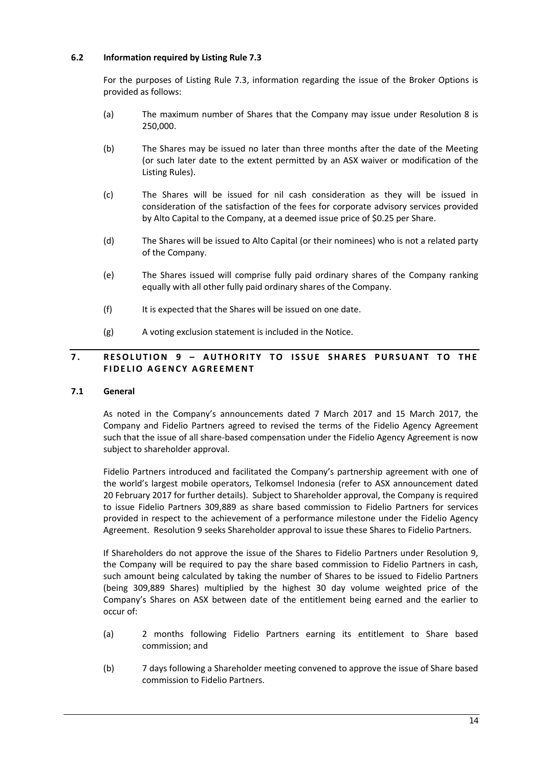## **6.2 Information required by Listing Rule 7.3**

For the purposes of Listing Rule 7.3, information regarding the issue of the Broker Options is provided as follows:

- (a) The maximum number of Shares that the Company may issue under Resolution 8 is 250,000.
- (b) The Shares may be issued no later than three months after the date of the Meeting (or such later date to the extent permitted by an ASX waiver or modification of the Listing Rules).
- (c) The Shares will be issued for nil cash consideration as they will be issued in consideration of the satisfaction of the fees for corporate advisory services provided by Alto Capital to the Company, at a deemed issue price of \$0.25 per Share.
- (d) The Shares will be issued to Alto Capital (or their nominees) who is not a related party of the Company.
- (e) The Shares issued will comprise fully paid ordinary shares of the Company ranking equally with all other fully paid ordinary shares of the Company.
- (f) It is expected that the Shares will be issued on one date.
- (g) A voting exclusion statement is included in the Notice.

# **7 . RESOLUTION 9 – AUTHORITY TO ISSUE SHARES PURSUANT TO THE FIDELIO AGENCY AGREEMENT**

## **7.1 General**

As noted in the Company's announcements dated 7 March 2017 and 15 March 2017, the Company and Fidelio Partners agreed to revised the terms of the Fidelio Agency Agreement such that the issue of all share-based compensation under the Fidelio Agency Agreement is now subject to shareholder approval.

Fidelio Partners introduced and facilitated the Company's partnership agreement with one of the world's largest mobile operators, Telkomsel Indonesia (refer to ASX announcement dated 20 February 2017 for further details). Subject to Shareholder approval, the Company is required to issue Fidelio Partners 309,889 as share based commission to Fidelio Partners for services provided in respect to the achievement of a performance milestone under the Fidelio Agency Agreement. Resolution 9 seeks Shareholder approval to issue these Shares to Fidelio Partners.

If Shareholders do not approve the issue of the Shares to Fidelio Partners under Resolution 9, the Company will be required to pay the share based commission to Fidelio Partners in cash, such amount being calculated by taking the number of Shares to be issued to Fidelio Partners (being 309,889 Shares) multiplied by the highest 30 day volume weighted price of the Company's Shares on ASX between date of the entitlement being earned and the earlier to occur of:

- (a) 2 months following Fidelio Partners earning its entitlement to Share based commission; and
- (b) 7 days following a Shareholder meeting convened to approve the issue of Share based commission to Fidelio Partners.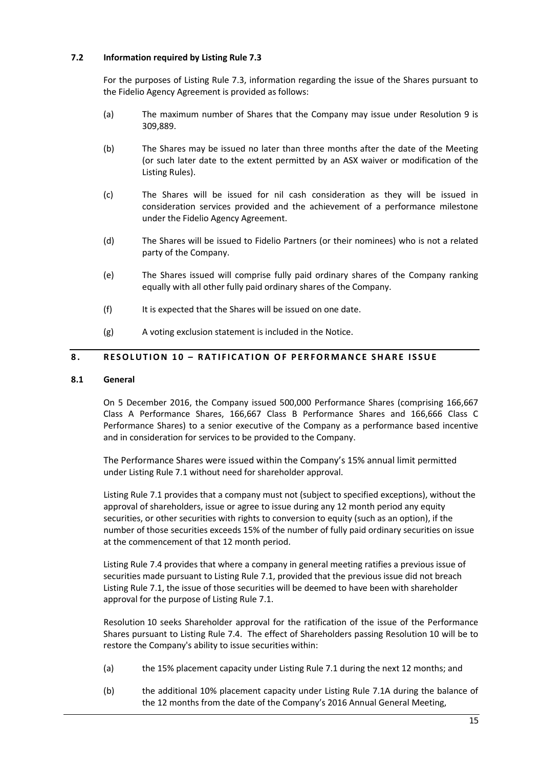## **7.2 Information required by Listing Rule 7.3**

For the purposes of Listing Rule 7.3, information regarding the issue of the Shares pursuant to the Fidelio Agency Agreement is provided as follows:

- (a) The maximum number of Shares that the Company may issue under Resolution 9 is 309,889.
- (b) The Shares may be issued no later than three months after the date of the Meeting (or such later date to the extent permitted by an ASX waiver or modification of the Listing Rules).
- (c) The Shares will be issued for nil cash consideration as they will be issued in consideration services provided and the achievement of a performance milestone under the Fidelio Agency Agreement.
- (d) The Shares will be issued to Fidelio Partners (or their nominees) who is not a related party of the Company.
- (e) The Shares issued will comprise fully paid ordinary shares of the Company ranking equally with all other fully paid ordinary shares of the Company.
- (f) It is expected that the Shares will be issued on one date.
- (g) A voting exclusion statement is included in the Notice.

# **8 . RESOLUTION 1 0 – RATIFICATION OF PERFORMANCE SHARE ISSUE**

#### **8.1 General**

On 5 December 2016, the Company issued 500,000 Performance Shares (comprising 166,667 Class A Performance Shares, 166,667 Class B Performance Shares and 166,666 Class C Performance Shares) to a senior executive of the Company as a performance based incentive and in consideration for services to be provided to the Company.

The Performance Shares were issued within the Company's 15% annual limit permitted under Listing Rule 7.1 without need for shareholder approval.

Listing Rule 7.1 provides that a company must not (subject to specified exceptions), without the approval of shareholders, issue or agree to issue during any 12 month period any equity securities, or other securities with rights to conversion to equity (such as an option), if the number of those securities exceeds 15% of the number of fully paid ordinary securities on issue at the commencement of that 12 month period.

Listing Rule 7.4 provides that where a company in general meeting ratifies a previous issue of securities made pursuant to Listing Rule 7.1, provided that the previous issue did not breach Listing Rule 7.1, the issue of those securities will be deemed to have been with shareholder approval for the purpose of Listing Rule 7.1.

Resolution 10 seeks Shareholder approval for the ratification of the issue of the Performance Shares pursuant to Listing Rule 7.4. The effect of Shareholders passing Resolution 10 will be to restore the Company's ability to issue securities within:

- (a) the 15% placement capacity under Listing Rule 7.1 during the next 12 months; and
- (b) the additional 10% placement capacity under Listing Rule 7.1A during the balance of the 12 months from the date of the Company's 2016 Annual General Meeting,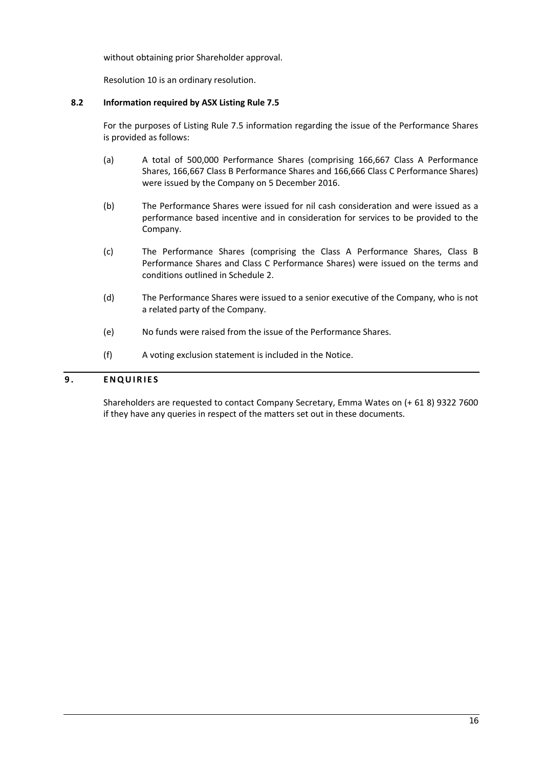without obtaining prior Shareholder approval.

Resolution 10 is an ordinary resolution.

# **8.2 Information required by ASX Listing Rule 7.5**

For the purposes of Listing Rule 7.5 information regarding the issue of the Performance Shares is provided as follows:

- (a) A total of 500,000 Performance Shares (comprising 166,667 Class A Performance Shares, 166,667 Class B Performance Shares and 166,666 Class C Performance Shares) were issued by the Company on 5 December 2016.
- (b) The Performance Shares were issued for nil cash consideration and were issued as a performance based incentive and in consideration for services to be provided to the Company.
- (c) The Performance Shares (comprising the Class A Performance Shares, Class B Performance Shares and Class C Performance Shares) were issued on the terms and conditions outlined in Schedule 2.
- (d) The Performance Shares were issued to a senior executive of the Company, who is not a related party of the Company.
- (e) No funds were raised from the issue of the Performance Shares.
- (f) A voting exclusion statement is included in the Notice.

# **9 . ENQUIRIES**

Shareholders are requested to contact Company Secretary, Emma Wates on (+ 61 8) 9322 7600 if they have any queries in respect of the matters set out in these documents.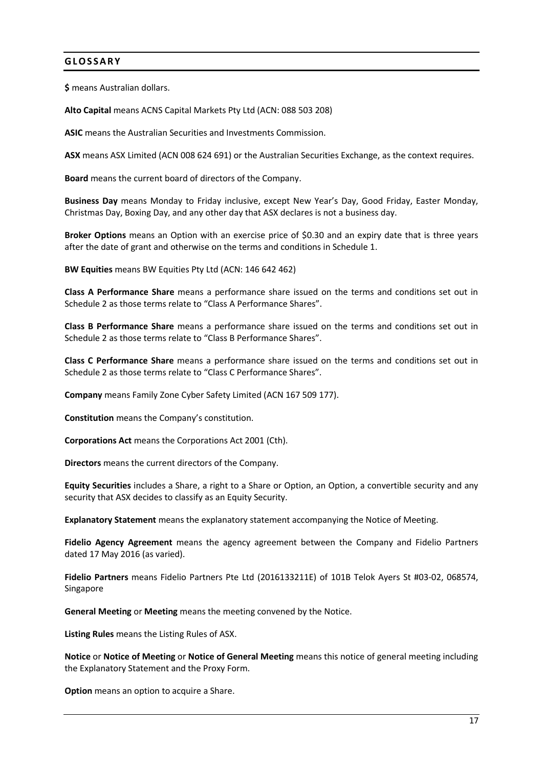# **GLOSSARY**

**\$** means Australian dollars.

**Alto Capital** means ACNS Capital Markets Pty Ltd (ACN: 088 503 208)

**ASIC** means the Australian Securities and Investments Commission.

**ASX** means ASX Limited (ACN 008 624 691) or the Australian Securities Exchange, as the context requires.

**Board** means the current board of directors of the Company.

**Business Day** means Monday to Friday inclusive, except New Year's Day, Good Friday, Easter Monday, Christmas Day, Boxing Day, and any other day that ASX declares is not a business day.

**Broker Options** means an Option with an exercise price of \$0.30 and an expiry date that is three years after the date of grant and otherwise on the terms and conditions in Schedule 1.

**BW Equities** means BW Equities Pty Ltd (ACN: 146 642 462)

**Class A Performance Share** means a performance share issued on the terms and conditions set out in Schedule 2 as those terms relate to "Class A Performance Shares".

**Class B Performance Share** means a performance share issued on the terms and conditions set out in Schedule 2 as those terms relate to "Class B Performance Shares".

**Class C Performance Share** means a performance share issued on the terms and conditions set out in Schedule 2 as those terms relate to "Class C Performance Shares".

**Company** means Family Zone Cyber Safety Limited (ACN 167 509 177).

**Constitution** means the Company's constitution.

**Corporations Act** means the Corporations Act 2001 (Cth).

**Directors** means the current directors of the Company.

**Equity Securities** includes a Share, a right to a Share or Option, an Option, a convertible security and any security that ASX decides to classify as an Equity Security.

**Explanatory Statement** means the explanatory statement accompanying the Notice of Meeting.

**Fidelio Agency Agreement** means the agency agreement between the Company and Fidelio Partners dated 17 May 2016 (as varied).

**Fidelio Partners** means Fidelio Partners Pte Ltd (2016133211E) of 101B Telok Ayers St #03-02, 068574, Singapore

**General Meeting** or **Meeting** means the meeting convened by the Notice.

**Listing Rules** means the Listing Rules of ASX.

**Notice** or **Notice of Meeting** or **Notice of General Meeting** means this notice of general meeting including the Explanatory Statement and the Proxy Form.

**Option** means an option to acquire a Share.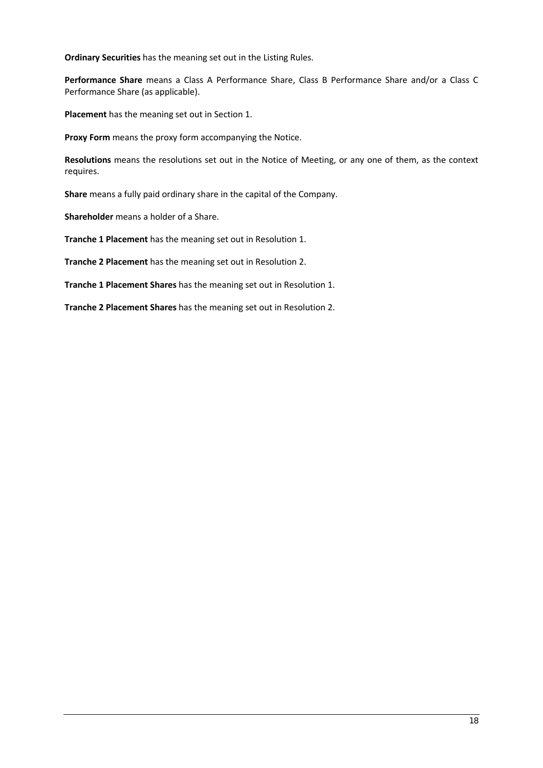**Ordinary Securities** has the meaning set out in the Listing Rules.

**Performance Share** means a Class A Performance Share, Class B Performance Share and/or a Class C Performance Share (as applicable).

**Placement** has the meaning set out in Section 1.

**Proxy Form** means the proxy form accompanying the Notice.

**Resolutions** means the resolutions set out in the Notice of Meeting, or any one of them, as the context requires.

**Share** means a fully paid ordinary share in the capital of the Company.

**Shareholder** means a holder of a Share.

**Tranche 1 Placement** has the meaning set out in Resolution 1.

**Tranche 2 Placement** has the meaning set out in Resolution 2.

**Tranche 1 Placement Shares** has the meaning set out in Resolution 1.

**Tranche 2 Placement Shares** has the meaning set out in Resolution 2.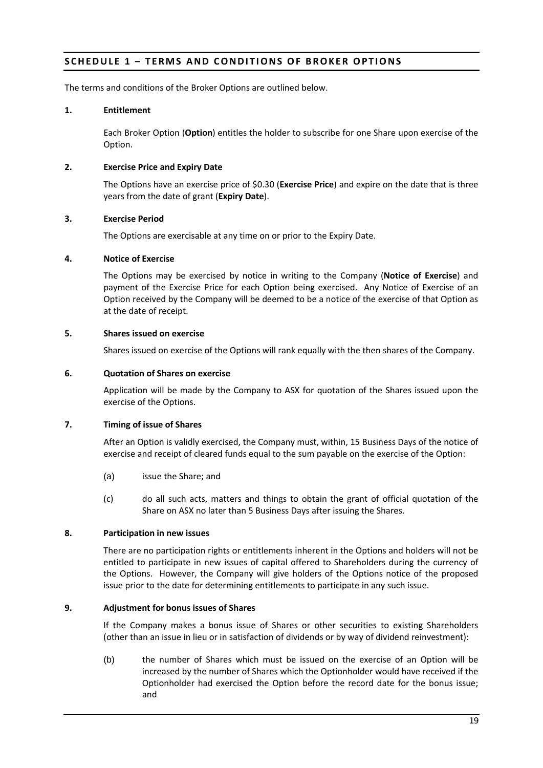# **SCHEDULE 1 – TERMS AND CONDITIONS OF BROKER OPTIONS**

<span id="page-18-0"></span>The terms and conditions of the Broker Options are outlined below.

#### **1. Entitlement**

Each Broker Option (**Option**) entitles the holder to subscribe for one Share upon exercise of the Option.

#### **2. Exercise Price and Expiry Date**

The Options have an exercise price of \$0.30 (**Exercise Price**) and expire on the date that is three years from the date of grant (**Expiry Date**).

#### **3. Exercise Period**

The Options are exercisable at any time on or prior to the Expiry Date.

#### **4. Notice of Exercise**

The Options may be exercised by notice in writing to the Company (**Notice of Exercise**) and payment of the Exercise Price for each Option being exercised. Any Notice of Exercise of an Option received by the Company will be deemed to be a notice of the exercise of that Option as at the date of receipt.

#### **5. Shares issued on exercise**

Shares issued on exercise of the Options will rank equally with the then shares of the Company.

#### **6. Quotation of Shares on exercise**

Application will be made by the Company to ASX for quotation of the Shares issued upon the exercise of the Options.

# **7. Timing of issue of Shares**

After an Option is validly exercised, the Company must, within, 15 Business Days of the notice of exercise and receipt of cleared funds equal to the sum payable on the exercise of the Option:

- (a) issue the Share; and
- (c) do all such acts, matters and things to obtain the grant of official quotation of the Share on ASX no later than 5 Business Days after issuing the Shares.

#### **8. Participation in new issues**

There are no participation rights or entitlements inherent in the Options and holders will not be entitled to participate in new issues of capital offered to Shareholders during the currency of the Options. However, the Company will give holders of the Options notice of the proposed issue prior to the date for determining entitlements to participate in any such issue.

## **9. Adjustment for bonus issues of Shares**

If the Company makes a bonus issue of Shares or other securities to existing Shareholders (other than an issue in lieu or in satisfaction of dividends or by way of dividend reinvestment):

(b) the number of Shares which must be issued on the exercise of an Option will be increased by the number of Shares which the Optionholder would have received if the Optionholder had exercised the Option before the record date for the bonus issue; and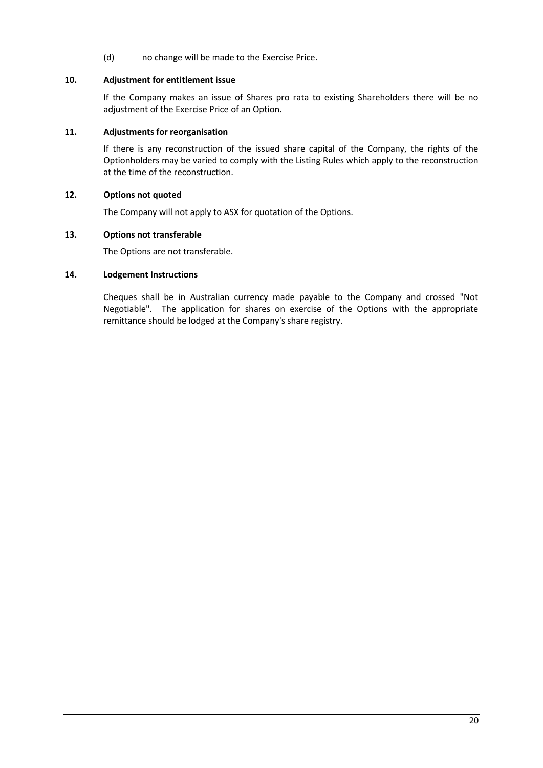(d) no change will be made to the Exercise Price.

# **10. Adjustment for entitlement issue**

If the Company makes an issue of Shares pro rata to existing Shareholders there will be no adjustment of the Exercise Price of an Option.

# **11. Adjustments for reorganisation**

If there is any reconstruction of the issued share capital of the Company, the rights of the Optionholders may be varied to comply with the Listing Rules which apply to the reconstruction at the time of the reconstruction.

# **12. Options not quoted**

The Company will not apply to ASX for quotation of the Options.

# **13. Options not transferable**

The Options are not transferable.

# **14. Lodgement Instructions**

Cheques shall be in Australian currency made payable to the Company and crossed "Not Negotiable". The application for shares on exercise of the Options with the appropriate remittance should be lodged at the Company's share registry.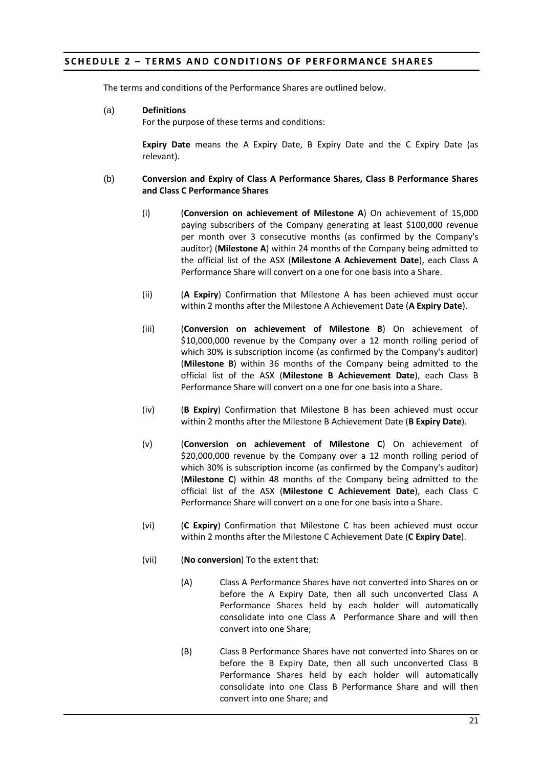# **SCHEDULE 2 – TERMS AND CONDITIONS OF PERFORMANCE SHARES**

The terms and conditions of the Performance Shares are outlined below.

(a) **Definitions**

For the purpose of these terms and conditions:

**Expiry Date** means the A Expiry Date, B Expiry Date and the C Expiry Date (as relevant).

- (b) **Conversion and Expiry of Class A Performance Shares, Class B Performance Shares and Class C Performance Shares**
	- (i) (**Conversion on achievement of Milestone A**) On achievement of 15,000 paying subscribers of the Company generating at least \$100,000 revenue per month over 3 consecutive months (as confirmed by the Company's auditor) (**Milestone A**) within 24 months of the Company being admitted to the official list of the ASX (**Milestone A Achievement Date**), each Class A Performance Share will convert on a one for one basis into a Share.
	- (ii) (**A Expiry**) Confirmation that Milestone A has been achieved must occur within 2 months after the Milestone A Achievement Date (**A Expiry Date**).
	- (iii) (**Conversion on achievement of Milestone B**) On achievement of \$10,000,000 revenue by the Company over a 12 month rolling period of which 30% is subscription income (as confirmed by the Company's auditor) (**Milestone B**) within 36 months of the Company being admitted to the official list of the ASX (**Milestone B Achievement Date**), each Class B Performance Share will convert on a one for one basis into a Share.
	- (iv) (**B Expiry**) Confirmation that Milestone B has been achieved must occur within 2 months after the Milestone B Achievement Date (**B Expiry Date**).
	- (v) (**Conversion on achievement of Milestone C**) On achievement of \$20,000,000 revenue by the Company over a 12 month rolling period of which 30% is subscription income (as confirmed by the Company's auditor) (**Milestone C**) within 48 months of the Company being admitted to the official list of the ASX (**Milestone C Achievement Date**), each Class C Performance Share will convert on a one for one basis into a Share.
	- (vi) (**C Expiry**) Confirmation that Milestone C has been achieved must occur within 2 months after the Milestone C Achievement Date (**C Expiry Date**).
	- (vii) (**No conversion**) To the extent that:
		- (A) Class A Performance Shares have not converted into Shares on or before the A Expiry Date, then all such unconverted Class A Performance Shares held by each holder will automatically consolidate into one Class A Performance Share and will then convert into one Share;
		- (B) Class B Performance Shares have not converted into Shares on or before the B Expiry Date, then all such unconverted Class B Performance Shares held by each holder will automatically consolidate into one Class B Performance Share and will then convert into one Share; and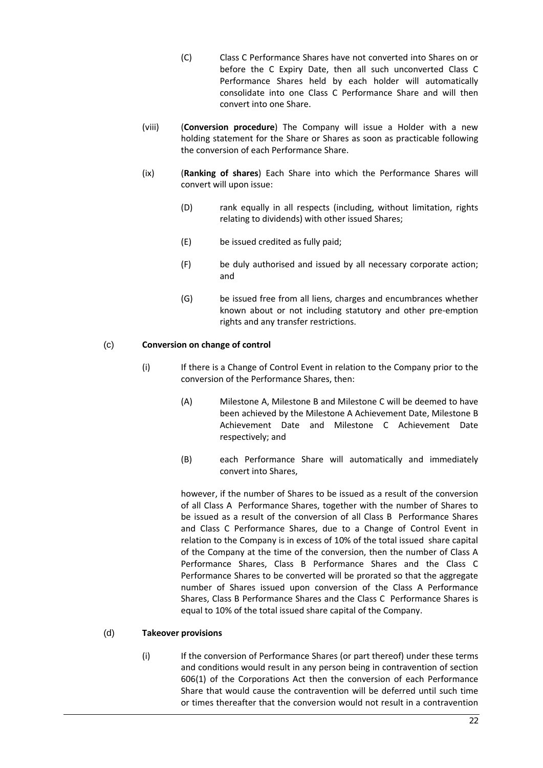- (C) Class C Performance Shares have not converted into Shares on or before the C Expiry Date, then all such unconverted Class C Performance Shares held by each holder will automatically consolidate into one Class C Performance Share and will then convert into one Share.
- (viii) (**Conversion procedure**) The Company will issue a Holder with a new holding statement for the Share or Shares as soon as practicable following the conversion of each Performance Share.
- (ix) (**Ranking of shares**) Each Share into which the Performance Shares will convert will upon issue:
	- (D) rank equally in all respects (including, without limitation, rights relating to dividends) with other issued Shares;
	- (E) be issued credited as fully paid;
	- (F) be duly authorised and issued by all necessary corporate action; and
	- (G) be issued free from all liens, charges and encumbrances whether known about or not including statutory and other pre-emption rights and any transfer restrictions.

## (c) **Conversion on change of control**

- (i) If there is a Change of Control Event in relation to the Company prior to the conversion of the Performance Shares, then:
	- (A) Milestone A, Milestone B and Milestone C will be deemed to have been achieved by the Milestone A Achievement Date, Milestone B Achievement Date and Milestone C Achievement Date respectively; and
	- (B) each Performance Share will automatically and immediately convert into Shares,

however, if the number of Shares to be issued as a result of the conversion of all Class A Performance Shares, together with the number of Shares to be issued as a result of the conversion of all Class B Performance Shares and Class C Performance Shares, due to a Change of Control Event in relation to the Company is in excess of 10% of the total issued share capital of the Company at the time of the conversion, then the number of Class A Performance Shares, Class B Performance Shares and the Class C Performance Shares to be converted will be prorated so that the aggregate number of Shares issued upon conversion of the Class A Performance Shares, Class B Performance Shares and the Class C Performance Shares is equal to 10% of the total issued share capital of the Company.

## (d) **Takeover provisions**

(i) If the conversion of Performance Shares (or part thereof) under these terms and conditions would result in any person being in contravention of section 606(1) of the Corporations Act then the conversion of each Performance Share that would cause the contravention will be deferred until such time or times thereafter that the conversion would not result in a contravention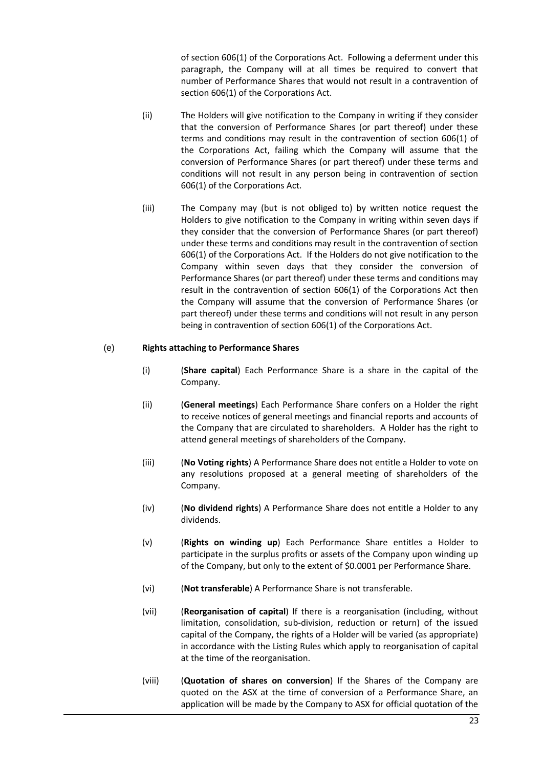of section 606(1) of the Corporations Act. Following a deferment under this paragraph, the Company will at all times be required to convert that number of Performance Shares that would not result in a contravention of section 606(1) of the Corporations Act.

- (ii) The Holders will give notification to the Company in writing if they consider that the conversion of Performance Shares (or part thereof) under these terms and conditions may result in the contravention of section 606(1) of the Corporations Act, failing which the Company will assume that the conversion of Performance Shares (or part thereof) under these terms and conditions will not result in any person being in contravention of section 606(1) of the Corporations Act.
- (iii) The Company may (but is not obliged to) by written notice request the Holders to give notification to the Company in writing within seven days if they consider that the conversion of Performance Shares (or part thereof) under these terms and conditions may result in the contravention of section 606(1) of the Corporations Act. If the Holders do not give notification to the Company within seven days that they consider the conversion of Performance Shares (or part thereof) under these terms and conditions may result in the contravention of section 606(1) of the Corporations Act then the Company will assume that the conversion of Performance Shares (or part thereof) under these terms and conditions will not result in any person being in contravention of section 606(1) of the Corporations Act.

# (e) **Rights attaching to Performance Shares**

- (i) (**Share capital**) Each Performance Share is a share in the capital of the Company.
- (ii) (**General meetings**) Each Performance Share confers on a Holder the right to receive notices of general meetings and financial reports and accounts of the Company that are circulated to shareholders. A Holder has the right to attend general meetings of shareholders of the Company.
- (iii) (**No Voting rights**) A Performance Share does not entitle a Holder to vote on any resolutions proposed at a general meeting of shareholders of the Company.
- (iv) (**No dividend rights**) A Performance Share does not entitle a Holder to any dividends.
- (v) (**Rights on winding up**) Each Performance Share entitles a Holder to participate in the surplus profits or assets of the Company upon winding up of the Company, but only to the extent of \$0.0001 per Performance Share.
- (vi) (**Not transferable**) A Performance Share is not transferable.
- (vii) (**Reorganisation of capital**) If there is a reorganisation (including, without limitation, consolidation, sub-division, reduction or return) of the issued capital of the Company, the rights of a Holder will be varied (as appropriate) in accordance with the Listing Rules which apply to reorganisation of capital at the time of the reorganisation.
- (viii) (**Quotation of shares on conversion**) If the Shares of the Company are quoted on the ASX at the time of conversion of a Performance Share, an application will be made by the Company to ASX for official quotation of the